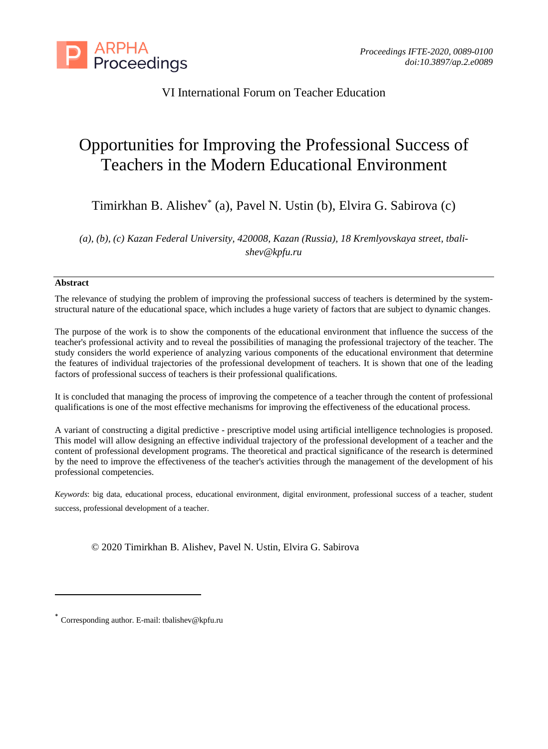

# VI International Forum on Teacher Education

# Opportunities for Improving the Professional Success of Teachers in the Modern Educational Environment

Timirkhan B. Alishev\* (a), Pavel N. Ustin (b), Elvira G. Sabirova (c)

*(a), (b), (c) Kazan Federal University, 420008, Kazan (Russia), 18 Kremlyovskaya street, tbalishev@kpfu.ru*

#### **Abstract**

The relevance of studying the problem of improving the professional success of teachers is determined by the systemstructural nature of the educational space, which includes a huge variety of factors that are subject to dynamic changes.

The purpose of the work is to show the components of the educational environment that influence the success of the teacher's professional activity and to reveal the possibilities of managing the professional trajectory of the teacher. The study considers the world experience of analyzing various components of the educational environment that determine the features of individual trajectories of the professional development of teachers. It is shown that one of the leading factors of professional success of teachers is their professional qualifications.

It is concluded that managing the process of improving the competence of a teacher through the content of professional qualifications is one of the most effective mechanisms for improving the effectiveness of the educational process.

A variant of constructing a digital predictive - prescriptive model using artificial intelligence technologies is proposed. This model will allow designing an effective individual trajectory of the professional development of a teacher and the content of professional development programs. The theoretical and practical significance of the research is determined by the need to improve the effectiveness of the teacher's activities through the management of the development of his professional competencies.

*Keywords*: big data, educational process, educational environment, digital environment, professional success of a teacher, student success, professional development of a teacher.

© 2020 Timirkhan B. Alishev, Pavel N. Ustin, Elvira G. Sabirova

Corresponding author. E-mail: tbalishev@kpfu.ru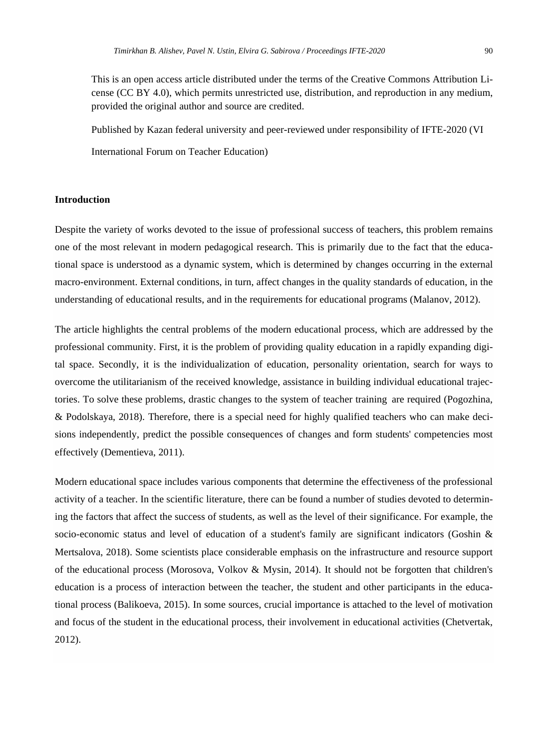This is an open access article distributed under the terms of the Creative Commons Attribution License (CC BY 4.0), which permits unrestricted use, distribution, and reproduction in any medium, provided the original author and source are credited.

Published by Kazan federal university and peer-reviewed under responsibility of IFTE-2020 (VI International Forum on Teacher Education)

#### **Introduction**

Despite the variety of works devoted to the issue of professional success of teachers, this problem remains one of the most relevant in modern pedagogical research. This is primarily due to the fact that the educational space is understood as a dynamic system, which is determined by changes occurring in the external macro-environment. External conditions, in turn, affect changes in the quality standards of education, in the understanding of educational results, and in the requirements for educational programs (Malanov, 2012).

The article highlights the central problems of the modern educational process, which are addressed by the professional community. First, it is the problem of providing quality education in a rapidly expanding digital space. Secondly, it is the individualization of education, personality orientation, search for ways to overcome the utilitarianism of the received knowledge, assistance in building individual educational trajectories. To solve these problems, drastic changes to the system of teacher training are required (Pogozhina, & Podolskaya, 2018). Therefore, there is a special need for highly qualified teachers who can make decisions independently, predict the possible consequences of changes and form students' competencies most effectively (Dementieva, 2011).

Modern educational space includes various components that determine the effectiveness of the professional activity of a teacher. In the scientific literature, there can be found a number of studies devoted to determining the factors that affect the success of students, as well as the level of their significance. For example, the socio-economic status and level of education of a student's family are significant indicators (Goshin & Mertsalova, 2018). Some scientists place considerable emphasis on the infrastructure and resource support of the educational process (Morosova, Volkov & Mysin, 2014). It should not be forgotten that children's education is a process of interaction between the teacher, the student and other participants in the educational process (Balikoeva, 2015). In some sources, crucial importance is attached to the level of motivation and focus of the student in the educational process, their involvement in educational activities (Chetvertak, 2012).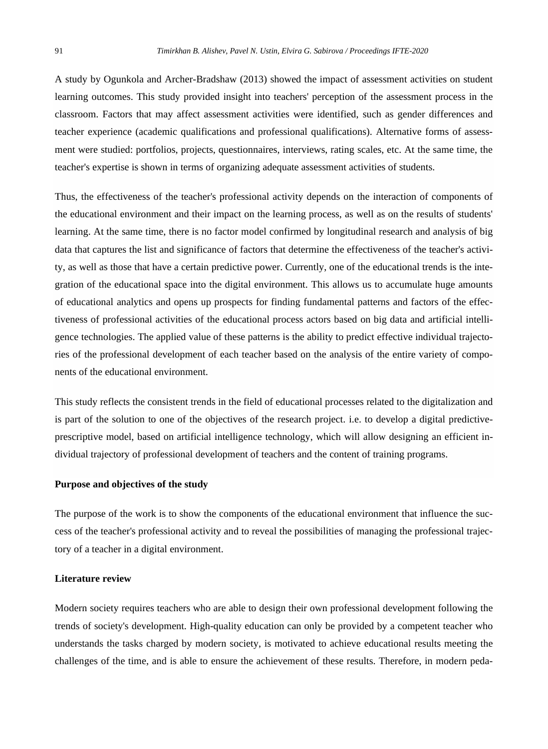A study by Ogunkola and Archer-Bradshaw (2013) showed the impact of assessment activities on student learning outcomes. This study provided insight into teachers' perception of the assessment process in the classroom. Factors that may affect assessment activities were identified, such as gender differences and teacher experience (academic qualifications and professional qualifications). Alternative forms of assessment were studied: portfolios, projects, questionnaires, interviews, rating scales, etc. At the same time, the teacher's expertise is shown in terms of organizing adequate assessment activities of students.

Thus, the effectiveness of the teacher's professional activity depends on the interaction of components of the educational environment and their impact on the learning process, as well as on the results of students' learning. At the same time, there is no factor model confirmed by longitudinal research and analysis of big data that captures the list and significance of factors that determine the effectiveness of the teacher's activity, as well as those that have a certain predictive power. Currently, one of the educational trends is the integration of the educational space into the digital environment. This allows us to accumulate huge amounts of educational analytics and opens up prospects for finding fundamental patterns and factors of the effectiveness of professional activities of the educational process actors based on big data and artificial intelligence technologies. The applied value of these patterns is the ability to predict effective individual trajectories of the professional development of each teacher based on the analysis of the entire variety of components of the educational environment.

This study reflects the consistent trends in the field of educational processes related to the digitalization and is part of the solution to one of the objectives of the research project. i.e. to develop a digital predictiveprescriptive model, based on artificial intelligence technology, which will allow designing an efficient individual trajectory of professional development of teachers and the content of training programs.

# **Purpose and objectives of the study**

The purpose of the work is to show the components of the educational environment that influence the success of the teacher's professional activity and to reveal the possibilities of managing the professional trajectory of a teacher in a digital environment.

#### **Literature review**

Modern society requires teachers who are able to design their own professional development following the trends of society's development. High-quality education can only be provided by a competent teacher who understands the tasks charged by modern society, is motivated to achieve educational results meeting the challenges of the time, and is able to ensure the achievement of these results. Therefore, in modern peda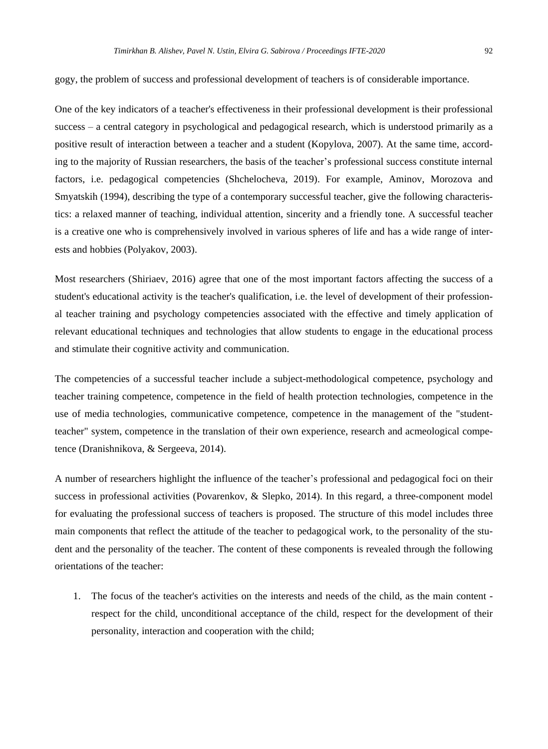One of the key indicators of a teacher's effectiveness in their professional development is their professional success – a central category in psychological and pedagogical research, which is understood primarily as a positive result of interaction between a teacher and a student (Kopylova, 2007). At the same time, according to the majority of Russian researchers, the basis of the teacher's professional success constitute internal factors, i.e. pedagogical competencies (Shchelocheva, 2019). For example, Aminov, Morozova and Smyatskih (1994), describing the type of a contemporary successful teacher, give the following characteristics: a relaxed manner of teaching, individual attention, sincerity and a friendly tone. А successful teacher is a creative one who is comprehensively involved in various spheres of life and has a wide range of interests and hobbies (Polyakov, 2003).

Most researchers (Shiriaev, 2016) agree that one of the most important factors affecting the success of a student's educational activity is the teacher's qualification, i.e. the level of development of their professional teacher training and psychology competencies associated with the effective and timely application of relevant educational techniques and technologies that allow students to engage in the educational process and stimulate their cognitive activity and communication.

The competencies of a successful teacher include a subject-methodological competence, psychology and teacher training competence, competence in the field of health protection technologies, competence in the use of media technologies, communicative competence, competence in the management of the "studentteacher" system, competence in the translation of their own experience, research and acmeological competence (Dranishnikova, & Sergeeva, 2014).

A number of researchers highlight the influence of the teacher's professional and pedagogical foci on their success in professional activities (Povarenkov, & Slepko, 2014). In this regard, a three-component model for evaluating the professional success of teachers is proposed. The structure of this model includes three main components that reflect the attitude of the teacher to pedagogical work, to the personality of the student and the personality of the teacher. The content of these components is revealed through the following orientations of the teacher:

1. The focus of the teacher's activities on the interests and needs of the child, as the main content respect for the child, unconditional acceptance of the child, respect for the development of their personality, interaction and cooperation with the child;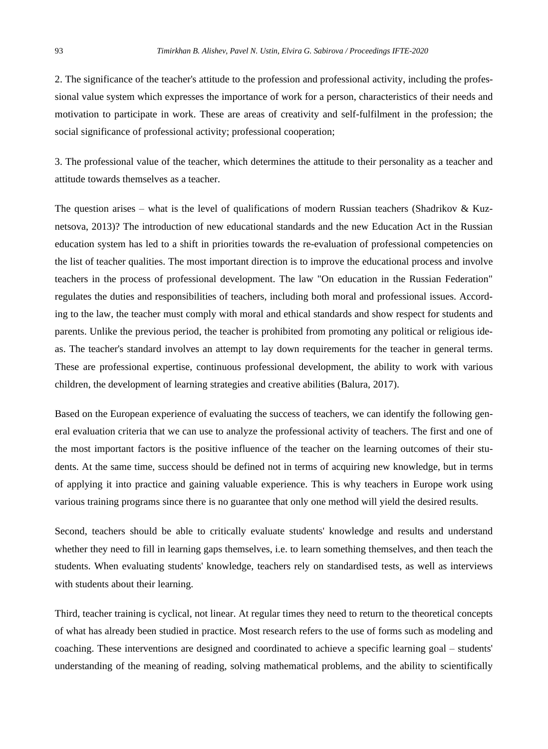2. The significance of the teacher's attitude to the profession and professional activity, including the professional value system which expresses the importance of work for a person, characteristics of their needs and motivation to participate in work. These are areas of creativity and self-fulfilment in the profession; the social significance of professional activity; professional cooperation;

3. The professional value of the teacher, which determines the attitude to their personality as a teacher and attitude towards themselves as a teacher.

The question arises – what is the level of qualifications of modern Russian teachers (Shadrikov  $\&$  Kuznetsova, 2013)? The introduction of new educational standards and the new Education Act in the Russian education system has led to a shift in priorities towards the re-evaluation of professional competencies on the list of teacher qualities. The most important direction is to improve the educational process and involve teachers in the process of professional development. The law "On education in the Russian Federation" regulates the duties and responsibilities of teachers, including both moral and professional issues. According to the law, the teacher must comply with moral and ethical standards and show respect for students and parents. Unlike the previous period, the teacher is prohibited from promoting any political or religious ideas. The teacher's standard involves an attempt to lay down requirements for the teacher in general terms. These are professional expertise, continuous professional development, the ability to work with various children, the development of learning strategies and creative abilities (Balura, 2017).

Based on the European experience of evaluating the success of teachers, we can identify the following general evaluation criteria that we can use to analyze the professional activity of teachers. The first and one of the most important factors is the positive influence of the teacher on the learning outcomes of their students. At the same time, success should be defined not in terms of acquiring new knowledge, but in terms of applying it into practice and gaining valuable experience. This is why teachers in Europe work using various training programs since there is no guarantee that only one method will yield the desired results.

Second, teachers should be able to critically evaluate students' knowledge and results and understand whether they need to fill in learning gaps themselves, i.e. to learn something themselves, and then teach the students. When evaluating students' knowledge, teachers rely on standardised tests, as well as interviews with students about their learning.

Third, teacher training is cyclical, not linear. At regular times they need to return to the theoretical concepts of what has already been studied in practice. Most research refers to the use of forms such as modeling and coaching. These interventions are designed and coordinated to achieve a specific learning goal – students' understanding of the meaning of reading, solving mathematical problems, and the ability to scientifically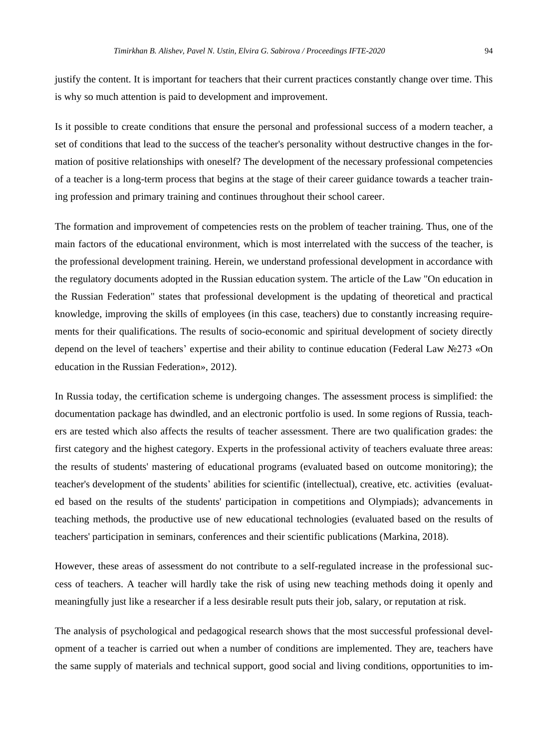justify the content. It is important for teachers that their current practices constantly change over time. This is why so much attention is paid to development and improvement.

Is it possible to create conditions that ensure the personal and professional success of a modern teacher, a set of conditions that lead to the success of the teacher's personality without destructive changes in the formation of positive relationships with oneself? The development of the necessary professional competencies of a teacher is a long-term process that begins at the stage of their career guidance towards a teacher training profession and primary training and continues throughout their school career.

The formation and improvement of competencies rests on the problem of teacher training. Thus, one of the main factors of the educational environment, which is most interrelated with the success of the teacher, is the professional development training. Herein, we understand professional development in accordance with the regulatory documents adopted in the Russian education system. The article of the Law "On education in the Russian Federation" states that professional development is the updating of theoretical and practical knowledge, improving the skills of employees (in this case, teachers) due to constantly increasing requirements for their qualifications. The results of socio-economic and spiritual development of society directly depend on the level of teachers' expertise and their ability to continue education (Federal Law №273 «On education in the Russian Federation», 2012).

In Russia today, the certification scheme is undergoing changes. The assessment process is simplified: the documentation package has dwindled, and an electronic portfolio is used. In some regions of Russia, teachers are tested which also affects the results of teacher assessment. There are two qualification grades: the first category and the highest category. Experts in the professional activity of teachers evaluate three areas: the results of students' mastering of educational programs (evaluated based on outcome monitoring); the teacher's development of the students' abilities for scientific (intellectual), creative, etc. activities (evaluated based on the results of the students' participation in competitions and Olympiads); advancements in teaching methods, the productive use of new educational technologies (evaluated based on the results of teachers' participation in seminars, conferences and their scientific publications (Markina, 2018).

However, these areas of assessment do not contribute to a self-regulated increase in the professional success of teachers. A teacher will hardly take the risk of using new teaching methods doing it openly and meaningfully just like a researcher if a less desirable result puts their job, salary, or reputation at risk.

The analysis of psychological and pedagogical research shows that the most successful professional development of a teacher is carried out when a number of conditions are implemented. They are, teachers have the same supply of materials and technical support, good social and living conditions, opportunities to im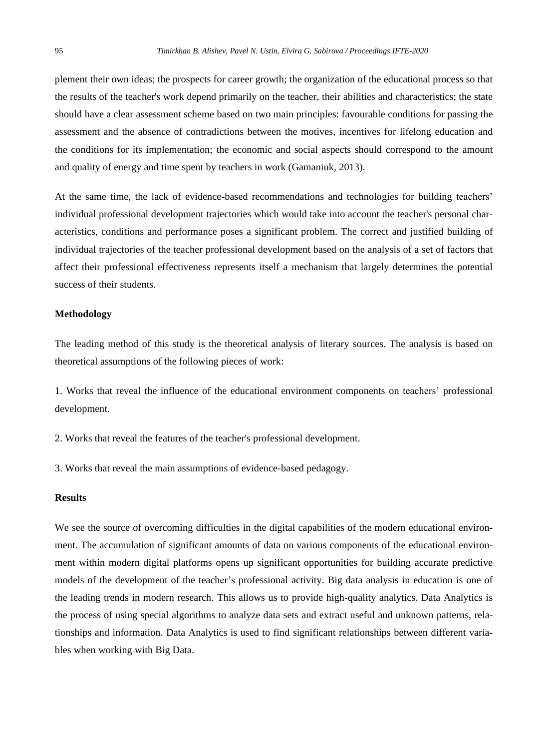plement their own ideas; the prospects for career growth; the organization of the educational process so that the results of the teacher's work depend primarily on the teacher, their abilities and characteristics; the state should have a clear assessment scheme based on two main principles: favourable conditions for passing the assessment and the absence of contradictions between the motives, incentives for lifelong education and the conditions for its implementation; the economic and social aspects should correspond to the amount and quality of energy and time spent by teachers in work (Gamaniuk, 2013).

At the same time, the lack of evidence-based recommendations and technologies for building teachers' individual professional development trajectories which would take into account the teacher's personal characteristics, conditions and performance poses a significant problem. The correct and justified building of individual trajectories of the teacher professional development based on the analysis of a set of factors that affect their professional effectiveness represents itself a mechanism that largely determines the potential success of their students.

# **Methodology**

The leading method of this study is the theoretical analysis of literary sources. The analysis is based on theoretical assumptions of the following pieces of work:

1. Works that reveal the influence of the educational environment components on teachers' professional development.

2. Works that reveal the features of the teacher's professional development.

3. Works that reveal the main assumptions of evidence-based pedagogy.

#### **Results**

We see the source of overcoming difficulties in the digital capabilities of the modern educational environment. The accumulation of significant amounts of data on various components of the educational environment within modern digital platforms opens up significant opportunities for building accurate predictive models of the development of the teacher's professional activity. Big data analysis in education is one of the leading trends in modern research. This allows us to provide high-quality analytics. Data Analytics is the process of using special algorithms to analyze data sets and extract useful and unknown patterns, relationships and information. Data Analytics is used to find significant relationships between different variables when working with Big Data.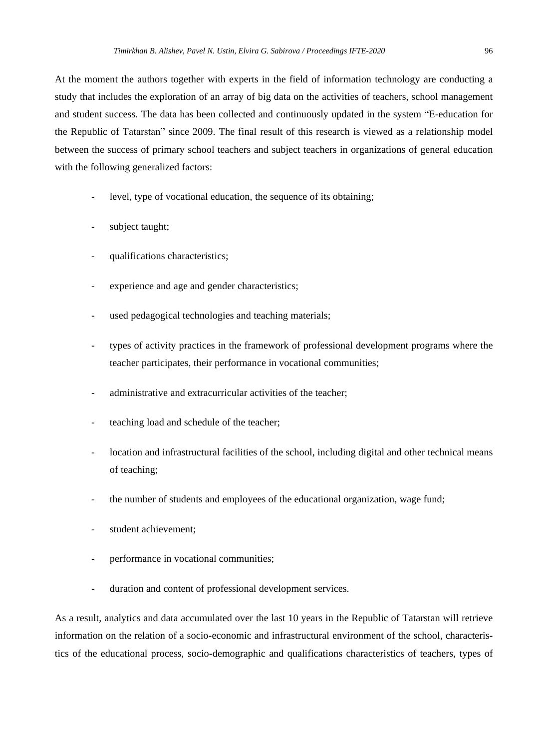At the moment the authors together with experts in the field of information technology are conducting a study that includes the exploration of an array of big data on the activities of teachers, school management and student success. The data has been collected and continuously updated in the system "E-education for the Republic of Tatarstan" since 2009. The final result of this research is viewed as a relationship model between the success of primary school teachers and subject teachers in organizations of general education with the following generalized factors:

- level, type of vocational education, the sequence of its obtaining;
- subject taught;
- qualifications characteristics;
- experience and age and gender characteristics;
- used pedagogical technologies and teaching materials;
- types of activity practices in the framework of professional development programs where the teacher participates, their performance in vocational communities;
- administrative and extracurricular activities of the teacher;
- teaching load and schedule of the teacher;
- location and infrastructural facilities of the school, including digital and other technical means of teaching;
- the number of students and employees of the educational organization, wage fund;
- student achievement;
- performance in vocational communities;
- duration and content of professional development services.

As a result, analytics and data accumulated over the last 10 years in the Republic of Tatarstan will retrieve information on the relation of a socio-economic and infrastructural environment of the school, characteristics of the educational process, socio-demographic and qualifications characteristics of teachers, types of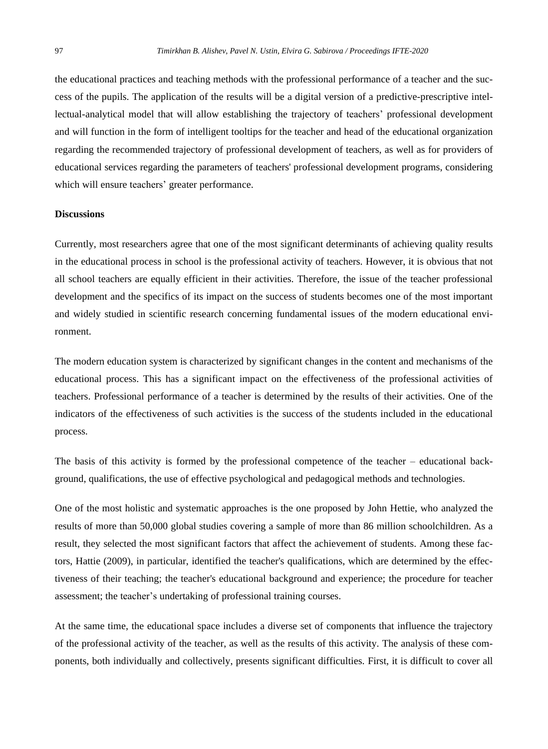the educational practices and teaching methods with the professional performance of a teacher and the success of the pupils. The application of the results will be a digital version of a predictive-prescriptive intellectual-analytical model that will allow establishing the trajectory of teachers' professional development and will function in the form of intelligent tooltips for the teacher and head of the educational organization regarding the recommended trajectory of professional development of teachers, as well as for providers of educational services regarding the parameters of teachers' professional development programs, considering which will ensure teachers' greater performance.

#### **Discussions**

Currently, most researchers agree that one of the most significant determinants of achieving quality results in the educational process in school is the professional activity of teachers. However, it is obvious that not all school teachers are equally efficient in their activities. Therefore, the issue of the teacher professional development and the specifics of its impact on the success of students becomes one of the most important and widely studied in scientific research concerning fundamental issues of the modern educational environment.

The modern education system is characterized by significant changes in the content and mechanisms of the educational process. This has a significant impact on the effectiveness of the professional activities of teachers. Professional performance of a teacher is determined by the results of their activities. One of the indicators of the effectiveness of such activities is the success of the students included in the educational process.

The basis of this activity is formed by the professional competence of the teacher – educational background, qualifications, the use of effective psychological and pedagogical methods and technologies.

One of the most holistic and systematic approaches is the one proposed by John Hettie, who analyzed the results of more than 50,000 global studies covering a sample of more than 86 million schoolchildren. As a result, they selected the most significant factors that affect the achievement of students. Among these factors, Hattie (2009), in particular, identified the teacher's qualifications, which are determined by the effectiveness of their teaching; the teacher's educational background and experience; the procedure for teacher assessment; the teacher's undertaking of professional training courses.

At the same time, the educational space includes a diverse set of components that influence the trajectory of the professional activity of the teacher, as well as the results of this activity. The analysis of these components, both individually and collectively, presents significant difficulties. First, it is difficult to cover all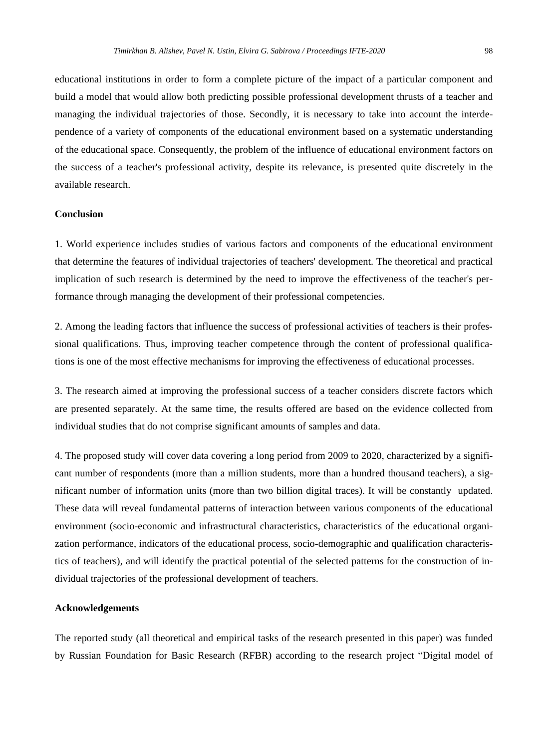educational institutions in order to form a complete picture of the impact of a particular component and build a model that would allow both predicting possible professional development thrusts of a teacher and managing the individual trajectories of those. Secondly, it is necessary to take into account the interdependence of a variety of components of the educational environment based on a systematic understanding of the educational space. Consequently, the problem of the influence of educational environment factors on the success of a teacher's professional activity, despite its relevance, is presented quite discretely in the available research.

#### **Conclusion**

1. World experience includes studies of various factors and components of the educational environment that determine the features of individual trajectories of teachers' development. The theoretical and practical implication of such research is determined by the need to improve the effectiveness of the teacher's performance through managing the development of their professional competencies.

2. Among the leading factors that influence the success of professional activities of teachers is their professional qualifications. Thus, improving teacher competence through the content of professional qualifications is one of the most effective mechanisms for improving the effectiveness of educational processes.

3. The research aimed at improving the professional success of a teacher considers discrete factors which are presented separately. At the same time, the results offered are based on the evidence collected from individual studies that do not comprise significant amounts of samples and data.

4. The proposed study will cover data covering a long period from 2009 to 2020, characterized by a significant number of respondents (more than a million students, more than a hundred thousand teachers), a significant number of information units (more than two billion digital traces). It will be constantly updated. These data will reveal fundamental patterns of interaction between various components of the educational environment (socio-economic and infrastructural characteristics, characteristics of the educational organization performance, indicators of the educational process, socio-demographic and qualification characteristics of teachers), and will identify the practical potential of the selected patterns for the construction of individual trajectories of the professional development of teachers.

#### **Acknowledgements**

The reported study (all theoretical and empirical tasks of the research presented in this paper) was funded by Russian Foundation for Basic Research (RFBR) according to the research project "Digital model of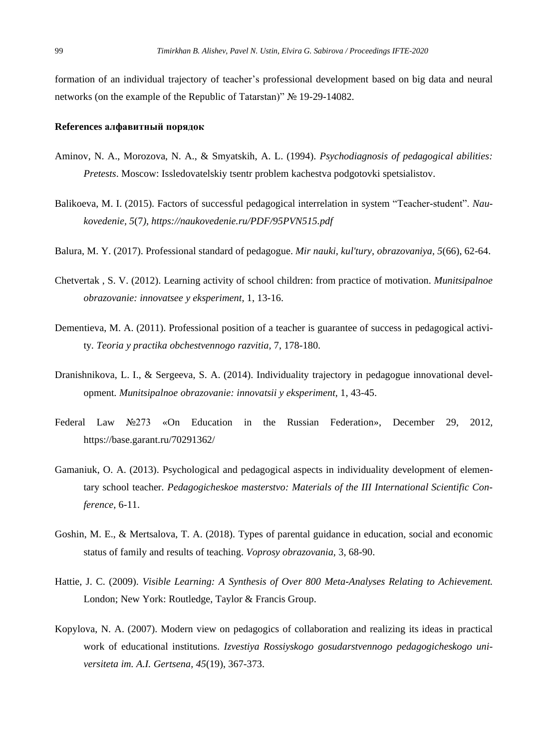formation of an individual trajectory of teacher's professional development based on big data and neural networks (on the example of the Republic of Tatarstan)" № 19-29-14082.

# **References алфавитный порядок**

- Aminov, N. A., Morozova, N. A., & Smyatskih, A. L. (1994). *Psychodiagnosis of pedagogical abilities: Pretests*. Moscow: Issledovatelskiy tsentr problem kachestva podgotovki spetsialistov.
- Balikoeva, M. I. (2015). Factors of successful pedagogical interrelation in system "Teacher-student". *Naukovedenie, 5*(7*), https://naukovedenie.ru/PDF/95PVN515.pdf*
- Balura, M. Y. (2017). Professional standard of pedagogue. *Mir nauki, kul'tury, obrazovaniya, 5*(66), 62-64.
- Chetvertak , S. V. (2012). Learning activity of school children: from practice of motivation. *Munitsipalnoe obrazovanie: innovatsee y eksperiment,* 1, 13-16.
- Dementieva, M. A. (2011). Professional position of a teacher is guarantee of success in pedagogical activity*. Teoria y practika obchestvennogo razvitia,* 7, 178-180.
- Dranishnikova, L. I., & Sergeeva, S. A. (2014). Individuality trajectory in pedagogue innovational development*. Munitsipalnoe obrazovanie: innovatsii y eksperiment,* 1, 43-45.
- Federal Law №273 «On Education in the Russian Federation», December 29, 2012*,* https://base.garant.ru/70291362/
- Gamaniuk, O. A. (2013). Psychological and pedagogical aspects in individuality development of elementary school teacher*. Pedagogicheskoe masterstvo: Materials of the III International Scientific Conference,* 6-11.
- Goshin, M. E., & Mertsalova, T. A. (2018). Types of parental guidance in education, social and economic status of family and results of teaching. *Voprosy obrazovania,* 3, 68-90.
- Hattie, J. C. (2009). *Visible Learning: A Synthesis of Over 800 Meta-Analyses Relating to Achievement.* London; New York: Routledge, Taylor & Francis Group.
- Kopylova, N. A. (2007). Modern view on pedagogics of collaboration and realizing its ideas in practical work of educational institutions. *Izvestiya Rossiyskogo gosudarstvennogo pedagogicheskogo universiteta im. A.I. Gertsena, 45*(19), 367-373.